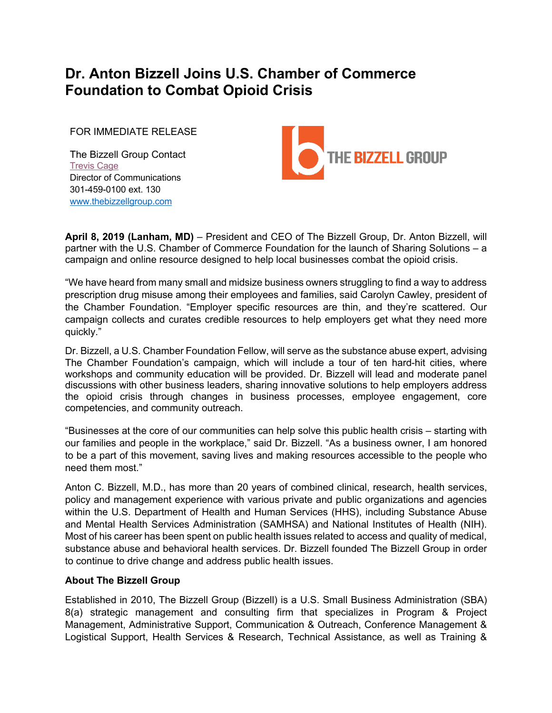## **Dr. Anton Bizzell Joins U.S. Chamber of Commerce Foundation to Combat Opioid Crisis**

FOR IMMEDIATE RELEASE

The Bizzell Group Contact **Trevis Cage** Director of Communications 301-459-0100 ext. 130 www.thebizzellgroup.com



**April 8, 2019 (Lanham, MD)** – President and CEO of The Bizzell Group, Dr. Anton Bizzell, will partner with the U.S. Chamber of Commerce Foundation for the launch of Sharing Solutions – a campaign and online resource designed to help local businesses combat the opioid crisis.

"We have heard from many small and midsize business owners struggling to find a way to address prescription drug misuse among their employees and families, said Carolyn Cawley, president of the Chamber Foundation. "Employer specific resources are thin, and they're scattered. Our campaign collects and curates credible resources to help employers get what they need more quickly."

Dr. Bizzell, a U.S. Chamber Foundation Fellow, will serve as the substance abuse expert, advising The Chamber Foundation's campaign, which will include a tour of ten hard-hit cities, where workshops and community education will be provided. Dr. Bizzell will lead and moderate panel discussions with other business leaders, sharing innovative solutions to help employers address the opioid crisis through changes in business processes, employee engagement, core competencies, and community outreach.

"Businesses at the core of our communities can help solve this public health crisis – starting with our families and people in the workplace," said Dr. Bizzell. "As a business owner, I am honored to be a part of this movement, saving lives and making resources accessible to the people who need them most."

Anton C. Bizzell, M.D., has more than 20 years of combined clinical, research, health services, policy and management experience with various private and public organizations and agencies within the U.S. Department of Health and Human Services (HHS), including Substance Abuse and Mental Health Services Administration (SAMHSA) and National Institutes of Health (NIH). Most of his career has been spent on public health issues related to access and quality of medical, substance abuse and behavioral health services. Dr. Bizzell founded The Bizzell Group in order to continue to drive change and address public health issues.

## **About The Bizzell Group**

Established in 2010, The Bizzell Group (Bizzell) is a U.S. Small Business Administration (SBA) 8(a) strategic management and consulting firm that specializes in Program & Project Management, Administrative Support, Communication & Outreach, Conference Management & Logistical Support, Health Services & Research, Technical Assistance, as well as Training &